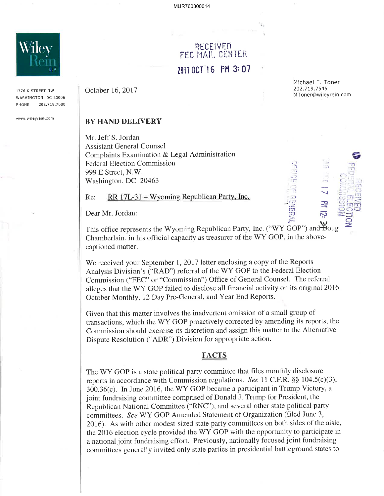

1776 K STREET NW WASHINGTON, DC 20006 PHONE 202.719.7000

www.w¡leyrein.com

## RECEIVED FEC HAIL CENTER 2017 OCT 16 PM 3:07

October 16, 2017

Michael E. Toner 202.719.7545 MToner@wileyrein.com

> .-l  $\sqrt{2}$ \*Þ

 $\bar{\mathcal{D}}$ 

'.1 . , J , 1'1

..1 m<br>ZJ e

 $\frac{1}{2}$   $\frac{1}{2}$   $\frac{1}{2}$  $\alpha$  ,  $\mu$  ,  $\alpha$  $\cong$ inni

> $\overline{\Xi}$ z.

## BY HAND DELIVERY

Mr. Jeff S. Jordan Assistant General Counsel Complaints Examination & Legal Administration Federal Election Commission 999 E Street, N.W. Washington, DC 20463

Re: RR 17L-31 – Wyoming Republican Party, Inc.

Dear Mr. Jordan:

This office represents the Wyoming Republican Party, Inc. ("WY GOP") and  $\overline{B}$ Chamberlain, in his official capacity as treasurer of the WY GOP, in the abovecaptioned matter. and<del>D</del>oug

We received your September 1, 2017 letter enclosing a copy of the Reports Analysis Division's ("RAD") referral of the WY GOP to the Federal Election Commission ("FEC" or "Commission") Office of General Counsel. The referral alleges that the WY GOP failed to disclose all financial activity on its original 2016 October Monthly, 12Day Pre-General, and Year End Reports.

Given that this matter involves the inadvertent omission of a small group of transactions, which the WY GOP proactively corrected by amending its reports, the Commission should exercise its discretion and assign this matter to the Alternative Dispute Resolution ("ADR") Division for appropriate action.

## **FACTS**

The WY GOP is a state political party committee that files monthly disclosure reports in accordance with Commission regulations. See 11 C.F.R.  $\S$ § 104.5(c)(3), 300.36(c). In June 2016, the WY GOP became a participant in Trump Victory, <sup>a</sup> joint fundraising committee comprised of Donald J. Trump for President, the Republican National Committee ("RNC"), and several other state political party committees. See WY GOP Amended Statement of Organization (filed June 3, 2016). As with other modest-sized state party committees on both sides of the aisle, the 2016 election cycle provided the WY GOP with the opportunity to participate in <sup>a</sup>national joint fundraising effort. Previously, nationally focused joint fundraising committees generally invited only state parties in presidential battleground states to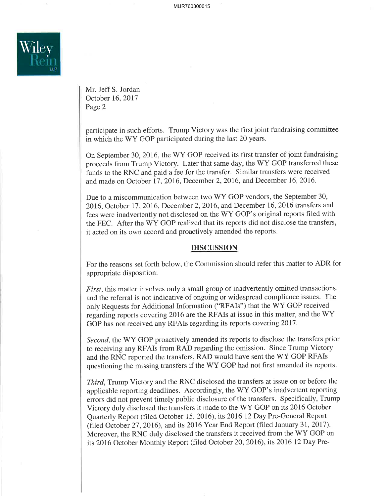

Mr. Jeff S. Jordan October 16,2017 Page 2

participate in such efforts. Trump Victory was the first joint fundraising committee in which the WY GOP participated during the last 20 years.

On September 30, 2016, the WY GOP received its first transfer of joint fundraising proceeds from Trump Victory. Later that same day, the WY GOP transferred these funds to the RNC and paid a fee for the transfer. Similar transfers were received and made on October 17,2016, December 2,2016, and December 16, 2016.

Due to a miscommunication between two WY GOP vendors, the September 30, 2016, October 17, 2016, December 2, 2016, and December 16, 2016 transfers and fees were inadvertently not disclosed on the WY GOP's original reports filed with the FEC. After the WY GOP realized that its reports did not disclose the transfers, it acted on its own accord and proactively amended the reports.

## **DISCUSSION**

For the reasons set forth below, the Commission should refer this matter to ADR for appropriate disposition:

First, this matter involves only a small group of inadvertently omitted transactions, and the referral is not indicative of ongoing or widespread compliance issues. The only Requests for Additional Information ("RFAIs") that the WY GOP received regarding reports covering 2O16 arc the RFAIs at issue in this matter, and the WY GOP has not received any RFAIs regarding its reports covering 2011.

Second, the WY GOP proactively amended its reports to disclose the transfers prior to receiving any RFAIs from RAD regarding the omission. Since Trump Victory and the RNC reported the transfers, RAD would have sent the WY GOP RFAIs questioning the missing transfers if the WY GOP had not first amended its reports.

Third, Trump Victory and the RNC disclosed the transfers at issue on or before the applicable reporting deadlines. Accordingly, the WY GOP's inadvertent reporting errors did not prevent timely public disclosure of the transfers. Specifically, Trump Victory duly disclosed the transfers it made to the WY GOP on its 2016 October Quarterly Report (filed October 15, 2016), its 2016 12 Day Pre-General Report (filed October 27, 2016), and its  $2016$  Year End Report (filed January 31, 2017). Moreover, the RNC duly disclosed the transfers it received from the WY GOP on its 2016 October Monthly Report (filed October 2O,2016), its 2016 12Day Pre-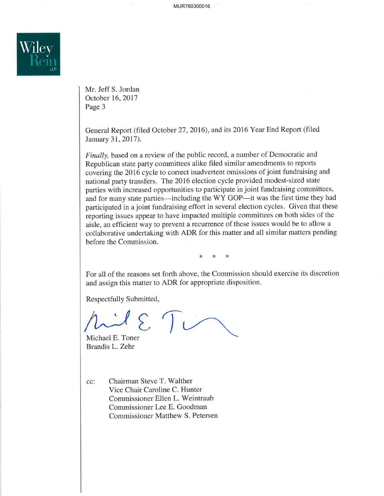

Mr. Jeff S. Jordan October 16,2017 Page 3

General Report (filed October 27, 2016), and its 2016 Year End Report (filed January 31, 2017).

Finally, based on a review of the public record, a number of Democratic and Republican state party committees alike filed similar amendments to reports covering the 2016 cycle to correct inadvertent omissions of joint fundraising and national party transfers. The 2016 election cycle provided modest-sized state parties with increased opportunities to participate in joint fundraising committees, and for many state parties—including the WY GOP—it was the first time they had participated in a joint fundraising effort in several election cycles. Given that these reporting issues appear to have impacted multiple committees on both sides of the aisle, an efficient way to prevent a recurrence of these issues would be to allow a collaborative undertaking with ADR for this matter and all similar matters pending before the Commission.

 $*$ 

For all of the reasons set forth above, the Commission should exercise its discretion and assign this matter to ADR for appropriate disposition.

Respectfully Submitted,

Michael E. Toner Brandis L. Zehr

cc: Chairman Steve T. Walther Vice Chair Caroline C. Hunter Commissioner Ellen L. Weintraub Commissioner Lee E. Goodman Commissioner Matthew S. Petersen